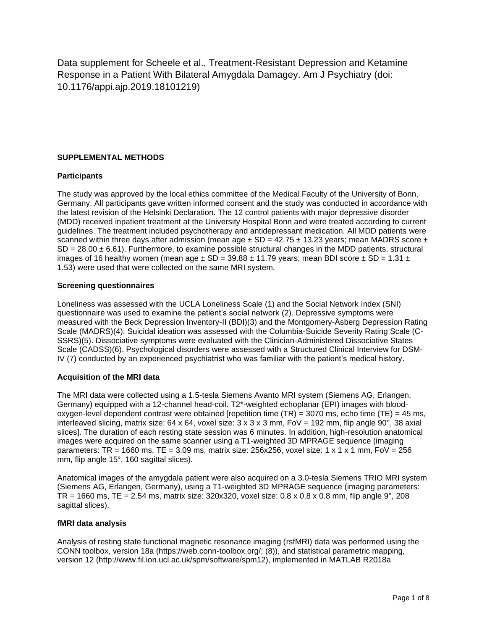Data supplement for Scheele et al., Treatment-Resistant Depression and Ketamine Response in a Patient With Bilateral Amygdala Damagey. Am J Psychiatry (doi: 10.1176/appi.ajp.2019.18101219)

### **SUPPLEMENTAL METHODS**

#### **Participants**

The study was approved by the local ethics committee of the Medical Faculty of the University of Bonn, Germany. All participants gave written informed consent and the study was conducted in accordance with the latest revision of the Helsinki Declaration. The 12 control patients with major depressive disorder (MDD) received inpatient treatment at the University Hospital Bonn and were treated according to current guidelines. The treatment included psychotherapy and antidepressant medication. All MDD patients were scanned within three days after admission (mean age  $\pm$  SD = 42.75  $\pm$  13.23 years; mean MADRS score  $\pm$  $SD = 28.00 \pm 6.61$ . Furthermore, to examine possible structural changes in the MDD patients, structural images of 16 healthy women (mean age  $\pm$  SD = 39.88  $\pm$  11.79 years; mean BDI score  $\pm$  SD = 1.31  $\pm$ 1.53) were used that were collected on the same MRI system.

#### **Screening questionnaires**

Loneliness was assessed with the UCLA Loneliness Scale (1) and the Social Network Index (SNI) questionnaire was used to examine the patient's social network (2). Depressive symptoms were measured with the Beck Depression Inventory-II (BDI)(3) and the Montgomery-Åsberg Depression Rating Scale (MADRS)(4). Suicidal ideation was assessed with the Columbia-Suicide Severity Rating Scale (C-SSRS)(5). Dissociative symptoms were evaluated with the Clinician-Administered Dissociative States Scale (CADSS)(6). Psychological disorders were assessed with a Structured Clinical Interview for DSM-IV (7) conducted by an experienced psychiatrist who was familiar with the patient's medical history.

#### **Acquisition of the MRI data**

The MRI data were collected using a 1.5-tesla Siemens Avanto MRI system (Siemens AG, Erlangen, Germany) equipped with a 12-channel head-coil. T2\*-weighted echoplanar (EPI) images with bloodoxygen-level dependent contrast were obtained [repetition time  $(TR) = 3070$  ms, echo time  $(TE) = 45$  ms, interleaved slicing, matrix size: 64 x 64, voxel size:  $3 \times 3 \times 3$  mm, FoV = 192 mm, flip angle 90°, 38 axial slices]. The duration of each resting state session was 6 minutes. In addition, high-resolution anatomical images were acquired on the same scanner using a T1-weighted 3D MPRAGE sequence (imaging parameters: TR = 1660 ms, TE = 3.09 ms, matrix size: 256x256, voxel size: 1 x 1 x 1 mm, FoV = 256 mm, flip angle 15°, 160 sagittal slices).

Anatomical images of the amygdala patient were also acquired on a 3.0-tesla Siemens TRIO MRI system (Siemens AG, Erlangen, Germany), using a T1-weighted 3D MPRAGE sequence (imaging parameters: TR = 1660 ms, TE = 2.54 ms, matrix size: 320x320, voxel size:  $0.8 \times 0.8 \times 0.8$  mm, flip angle 9°, 208 sagittal slices).

#### **fMRI data analysis**

Analysis of resting state functional magnetic resonance imaging (rsfMRI) data was performed using the CONN toolbox, version 18a (https://web.conn-toolbox.org/; (8)), and statistical parametric mapping, version 12 (http://www.fil.ion.ucl.ac.uk/spm/software/spm12), implemented in MATLAB R2018a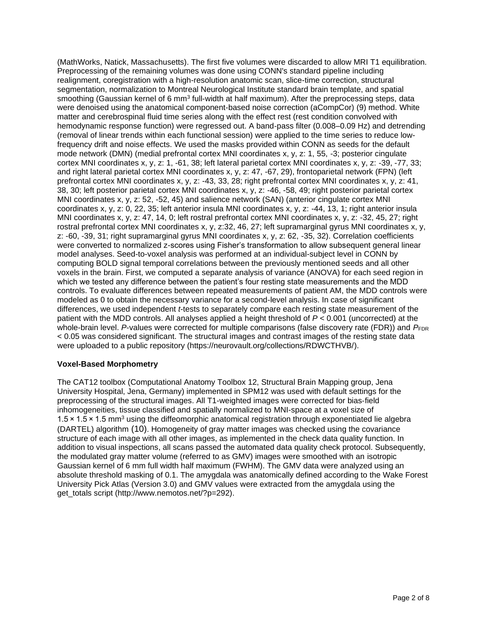(MathWorks, Natick, Massachusetts). The first five volumes were discarded to allow MRI T1 equilibration. Preprocessing of the remaining volumes was done using CONN's standard pipeline including realignment, coregistration with a high-resolution anatomic scan, slice-time correction, structural segmentation, normalization to Montreal Neurological Institute standard brain template, and spatial smoothing (Gaussian kernel of 6 mm<sup>3</sup> full-width at half maximum). After the preprocessing steps, data were denoised using the anatomical component-based noise correction (aCompCor) (9) method. White matter and cerebrospinal fluid time series along with the effect rest (rest condition convolved with hemodynamic response function) were regressed out. A band-pass filter (0.008–0.09 Hz) and detrending (removal of linear trends within each functional session) were applied to the time series to reduce lowfrequency drift and noise effects. We used the masks provided within CONN as seeds for the default mode network (DMN) (medial prefrontal cortex MNI coordinates x, y, z: 1, 55, -3; posterior cingulate cortex MNI coordinates x, y, z: 1, -61, 38; left lateral parietal cortex MNI coordinates x, y, z: -39, -77, 33; and right lateral parietal cortex MNI coordinates x, y, z: 47, -67, 29), frontoparietal network (FPN) (left prefrontal cortex MNI coordinates x, y, z: -43, 33, 28; right prefrontal cortex MNI coordinates x, y, z: 41, 38, 30; left posterior parietal cortex MNI coordinates x, y, z: -46, -58, 49; right posterior parietal cortex MNI coordinates x, y, z: 52, -52, 45) and salience network (SAN) (anterior cingulate cortex MNI coordinates x, y, z: 0, 22, 35; left anterior insula MNI coordinates x, y, z: -44, 13, 1; right anterior insula MNI coordinates x, y, z: 47, 14, 0; left rostral prefrontal cortex MNI coordinates x, y, z: -32, 45, 27; right rostral prefrontal cortex MNI coordinates x, y, z:32, 46, 27; left supramarginal gyrus MNI coordinates x, y, z: -60, -39, 31; right supramarginal gyrus MNI coordinates x, y, z: 62, -35, 32). Correlation coefficients were converted to normalized z-scores using Fisher's transformation to allow subsequent general linear model analyses. Seed-to-voxel analysis was performed at an individual-subject level in CONN by computing BOLD signal temporal correlations between the previously mentioned seeds and all other voxels in the brain. First, we computed a separate analysis of variance (ANOVA) for each seed region in which we tested any difference between the patient's four resting state measurements and the MDD controls. To evaluate differences between repeated measurements of patient AM, the MDD controls were modeled as 0 to obtain the necessary variance for a second-level analysis. In case of significant differences, we used independent *t*-tests to separately compare each resting state measurement of the patient with the MDD controls. All analyses applied a height threshold of *P* < 0.001 (uncorrected) at the whole-brain level. *P*-values were corrected for multiple comparisons (false discovery rate (FDR)) and *P*<sub>FDR</sub> < 0.05 was considered significant. The structural images and contrast images of the resting state data were uploaded to a public repository (https://neurovault.org/collections/RDWCTHVB/).

## **Voxel-Based Morphometry**

The CAT12 toolbox (Computational Anatomy Toolbox 12, Structural Brain Mapping group, Jena University Hospital, Jena, Germany) implemented in SPM12 was used with default settings for the preprocessing of the structural images. All T1-weighted images were corrected for bias‐field inhomogeneities, tissue classified and spatially normalized to MNI-space at a voxel size of 1.5 × 1.5 × 1.5 mm<sup>3</sup> using the diffeomorphic anatomical registration through exponentiated lie algebra (DARTEL) algorithm (10). Homogeneity of gray matter images was checked using the covariance structure of each image with all other images, as implemented in the check data quality function. In addition to visual inspections, all scans passed the automated data quality check protocol. Subsequently, the modulated gray matter volume (referred to as GMV) images were smoothed with an isotropic Gaussian kernel of 6 mm full width half maximum (FWHM). The GMV data were analyzed using an absolute threshold masking of 0.1. The amygdala was anatomically defined according to the Wake Forest University Pick Atlas (Version 3.0) and GMV values were extracted from the amygdala using the get\_totals script (http://www.nemotos.net/?p=292).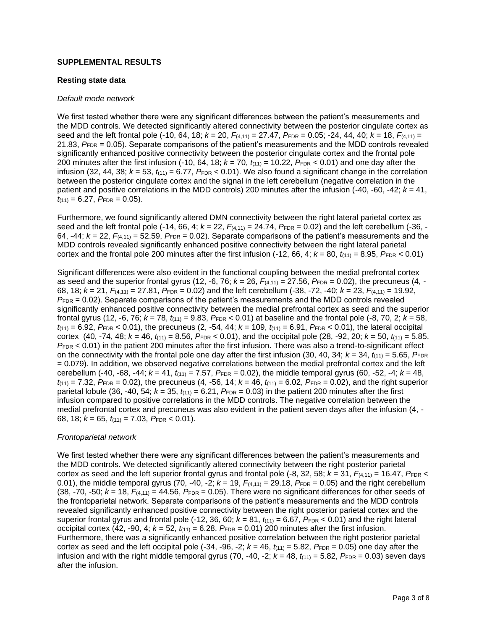#### **SUPPLEMENTAL RESULTS**

#### **Resting state data**

#### *Default mode network*

We first tested whether there were any significant differences between the patient's measurements and the MDD controls. We detected significantly altered connectivity between the posterior cingulate cortex as seed and the left frontal pole (-10, 64, 18; *k* = 20, *F*(4,11) = 27.47, *P*FDR = 0.05; -24, 44, 40; *k* = 18, *F*(4,11) = 21.83, *P*<sub>FDR</sub> = 0.05). Separate comparisons of the patient's measurements and the MDD controls revealed significantly enhanced positive connectivity between the posterior cingulate cortex and the frontal pole 200 minutes after the first infusion (-10, 64, 18;  $k = 70$ ,  $t_{(11)} = 10.22$ ,  $P_{FDR} < 0.01$ ) and one day after the infusion (32, 44, 38;  $k = 53$ ,  $t_{(11)} = 6.77$ ,  $P_{FDR} < 0.01$ ). We also found a significant change in the correlation between the posterior cingulate cortex and the signal in the left cerebellum (negative correlation in the patient and positive correlations in the MDD controls) 200 minutes after the infusion (-40, -60, -42; *k* = 41,  $t_{(11)} = 6.27$ ,  $P_{\text{FDR}} = 0.05$ ).

Furthermore, we found significantly altered DMN connectivity between the right lateral parietal cortex as seed and the left frontal pole (-14, 66, 4;  $k = 22$ ,  $F_{(4,11)} = 24.74$ ,  $P_{FDR} = 0.02$ ) and the left cerebellum (-36, -64, -44;  $k = 22$ ,  $F_{(4,11)} = 52.59$ ,  $P_{FDR} = 0.02$ ). Separate comparisons of the patient's measurements and the MDD controls revealed significantly enhanced positive connectivity between the right lateral parietal cortex and the frontal pole 200 minutes after the first infusion  $(-12, 66, 4; k = 80, t_{(11)} = 8.95, P_{FDR} < 0.01)$ 

Significant differences were also evident in the functional coupling between the medial prefrontal cortex as seed and the superior frontal gyrus (12, -6, 76;  $k = 26$ ,  $F_{(4,11)} = 27.56$ ,  $P_{FDR} = 0.02$ ), the precuneus (4, -68, 18;  $k = 21$ ,  $F_{(4,11)} = 27.81$ ,  $P_{FDR} = 0.02$ ) and the left cerebellum (-38, -72, -40;  $k = 23$ ,  $F_{(4,11)} = 19.92$ ,  $P_{FDR}$  = 0.02). Separate comparisons of the patient's measurements and the MDD controls revealed significantly enhanced positive connectivity between the medial prefrontal cortex as seed and the superior frontal gyrus (12, -6, 76;  $k = 78$ ,  $t_{(11)} = 9.83$ ,  $P_{FDR} < 0.01$ ) at baseline and the frontal pole (-8, 70, 2;  $k = 58$ ,  $t_{(11)} = 6.92$ ,  $P_{FDR} < 0.01$ ), the precuneus (2, -54, 44;  $k = 109$ ,  $t_{(11)} = 6.91$ ,  $P_{FDR} < 0.01$ ), the lateral occipital cortex (40, -74, 48;  $k = 46$ ,  $t_{(11)} = 8.56$ ,  $P_{FDR} < 0.01$ ), and the occipital pole (28, -92, 20;  $k = 50$ ,  $t_{(11)} = 5.85$ , *P*FDR < 0.01) in the patient 200 minutes after the first infusion. There was also a trend-to-significant effect on the connectivity with the frontal pole one day after the first infusion (30, 40, 34;  $k = 34$ ,  $t_{(11)} = 5.65$ ,  $P_{FDR}$ = 0.079). In addition, we observed negative correlations between the medial prefrontal cortex and the left cerebellum (-40, -68, -44;  $k = 41$ ,  $t_{(11)} = 7.57$ ,  $P_{FDR} = 0.02$ ), the middle temporal gyrus (60, -52, -4;  $k = 48$ ,  $t_{(11)} = 7.32$ ,  $P_{FDR} = 0.02$ ), the precuneus (4, -56, 14;  $k = 46$ ,  $t_{(11)} = 6.02$ ,  $P_{FDR} = 0.02$ ), and the right superior parietal lobule (36, -40, 54;  $k = 35$ ,  $t_{(11)} = 6.21$ ,  $P_{FDR} = 0.03$ ) in the patient 200 minutes after the first infusion compared to positive correlations in the MDD controls. The negative correlation between the medial prefrontal cortex and precuneus was also evident in the patient seven days after the infusion (4, - 68, 18; *k* = 65, *t*(11) = 7.03, *P*FDR < 0.01).

#### *Frontoparietal network*

We first tested whether there were any significant differences between the patient's measurements and the MDD controls. We detected significantly altered connectivity between the right posterior parietal cortex as seed and the left superior frontal gyrus and frontal pole  $(-8, 32, 58; k = 31, F_{(4,11)} = 16.47, P_{FDR} <$ 0.01), the middle temporal gyrus (70, -40, -2;  $k = 19$ ,  $F_{(4,11)} = 29.18$ ,  $P_{FDR} = 0.05$ ) and the right cerebellum (38, -70, -50;  $k = 18$ ,  $F_{(4,11)} = 44.56$ ,  $P_{FDR} = 0.05$ ). There were no significant differences for other seeds of the frontoparietal network. Separate comparisons of the patient's measurements and the MDD controls revealed significantly enhanced positive connectivity between the right posterior parietal cortex and the superior frontal gyrus and frontal pole (-12, 36, 60;  $k = 81$ ,  $t_{(11)} = 6.67$ ,  $P_{\text{FDR}} < 0.01$ ) and the right lateral occipital cortex (42, -90, 4;  $k = 52$ ,  $t_{(11)} = 6.28$ ,  $P_{FDR} = 0.01$ ) 200 minutes after the first infusion. Furthermore, there was a significantly enhanced positive correlation between the right posterior parietal cortex as seed and the left occipital pole (-34, -96, -2;  $k = 46$ ,  $t_{(11)} = 5.82$ ,  $P_{FDR} = 0.05$ ) one day after the infusion and with the right middle temporal gyrus (70, -40, -2;  $k = 48$ ,  $t_{(11)} = 5.82$ ,  $P_{FDR} = 0.03$ ) seven days after the infusion.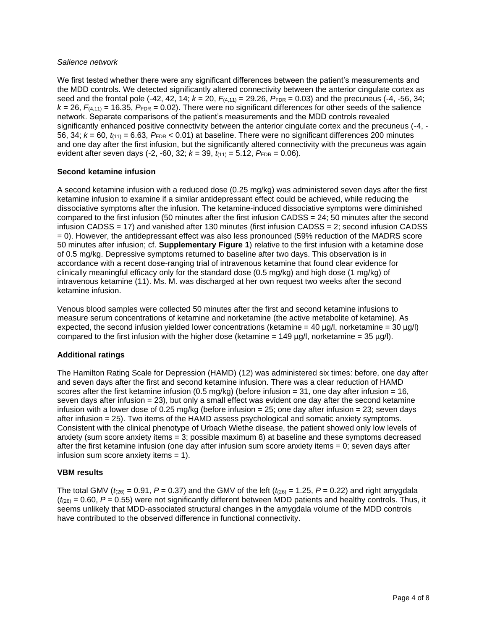#### *Salience network*

We first tested whether there were any significant differences between the patient's measurements and the MDD controls. We detected significantly altered connectivity between the anterior cingulate cortex as seed and the frontal pole  $(-42, 42, 14; k = 20, F_{(4,11)} = 29.26, F_{FDR} = 0.03)$  and the precuneus  $(-4, -56, 34;$  $k = 26$ ,  $F_{(4,11)} = 16.35$ ,  $P_{FDR} = 0.02$ ). There were no significant differences for other seeds of the salience network. Separate comparisons of the patient's measurements and the MDD controls revealed significantly enhanced positive connectivity between the anterior cingulate cortex and the precuneus (-4, - 56, 34; *k* = 60, *t*(11) = 6.63, *P*FDR < 0.01) at baseline. There were no significant differences 200 minutes and one day after the first infusion, but the significantly altered connectivity with the precuneus was again evident after seven days  $(-2, -60, 32; k = 39, t_{(11)} = 5.12, P_{FDR} = 0.06)$ .

### **Second ketamine infusion**

A second ketamine infusion with a reduced dose (0.25 mg/kg) was administered seven days after the first ketamine infusion to examine if a similar antidepressant effect could be achieved, while reducing the dissociative symptoms after the infusion. The ketamine-induced dissociative symptoms were diminished compared to the first infusion (50 minutes after the first infusion CADSS = 24; 50 minutes after the second infusion CADSS = 17) and vanished after 130 minutes (first infusion CADSS = 2; second infusion CADSS = 0). However, the antidepressant effect was also less pronounced (59% reduction of the MADRS score 50 minutes after infusion; cf. **Supplementary Figure 1**) relative to the first infusion with a ketamine dose of 0.5 mg/kg. Depressive symptoms returned to baseline after two days. This observation is in accordance with a recent dose-ranging trial of intravenous ketamine that found clear evidence for clinically meaningful efficacy only for the standard dose (0.5 mg/kg) and high dose (1 mg/kg) of intravenous ketamine (11). Ms. M. was discharged at her own request two weeks after the second ketamine infusion.

Venous blood samples were collected 50 minutes after the first and second ketamine infusions to measure serum concentrations of ketamine and norketamine (the active metabolite of ketamine). As expected, the second infusion yielded lower concentrations (ketamine = 40  $\mu$ g/l, norketamine = 30  $\mu$ g/l) compared to the first infusion with the higher dose (ketamine =  $149 \mu g/l$ , norketamine =  $35 \mu g/l$ ).

## **Additional ratings**

The Hamilton Rating Scale for Depression (HAMD) (12) was administered six times: before, one day after and seven days after the first and second ketamine infusion. There was a clear reduction of HAMD scores after the first ketamine infusion (0.5 mg/kg) (before infusion = 31, one day after infusion = 16, seven days after infusion  $= 23$ ), but only a small effect was evident one day after the second ketamine infusion with a lower dose of 0.25 mg/kg (before infusion  $= 25$ ; one day after infusion  $= 23$ ; seven days after infusion = 25). Two items of the HAMD assess psychological and somatic anxiety symptoms. Consistent with the clinical phenotype of Urbach Wiethe disease, the patient showed only low levels of anxiety (sum score anxiety items = 3; possible maximum 8) at baseline and these symptoms decreased after the first ketamine infusion (one day after infusion sum score anxiety items = 0; seven days after infusion sum score anxiety items = 1).

#### **VBM results**

The total GMV ( $t_{(26)} = 0.91$ ,  $P = 0.37$ ) and the GMV of the left ( $t_{(26)} = 1.25$ ,  $P = 0.22$ ) and right amygdala  $(t_{26})$  = 0.60,  $P$  = 0.55) were not significantly different between MDD patients and healthy controls. Thus, it seems unlikely that MDD-associated structural changes in the amygdala volume of the MDD controls have contributed to the observed difference in functional connectivity.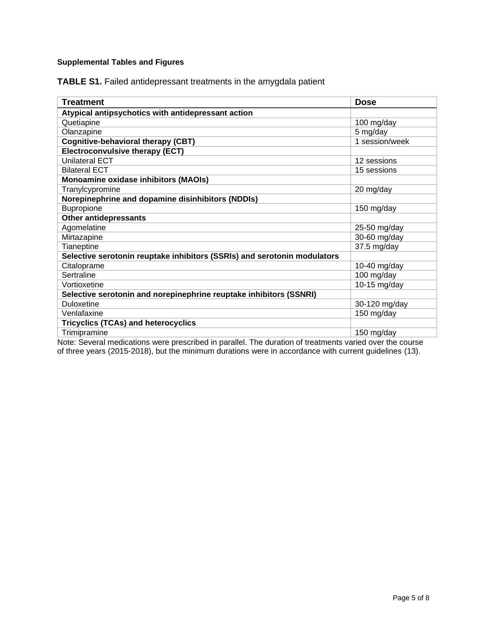## **Supplemental Tables and Figures**

**TABLE S1.** Failed antidepressant treatments in the amygdala patient

| Treatment                                                                | <b>Dose</b>    |
|--------------------------------------------------------------------------|----------------|
| Atypical antipsychotics with antidepressant action                       |                |
| Quetiapine                                                               | 100 mg/day     |
| Olanzapine                                                               | 5 mg/day       |
| <b>Cognitive-behavioral therapy (CBT)</b>                                | 1 session/week |
| <b>Electroconvulsive therapy (ECT)</b>                                   |                |
| Unilateral ECT                                                           | 12 sessions    |
| <b>Bilateral ECT</b>                                                     | 15 sessions    |
| <b>Monoamine oxidase inhibitors (MAOIs)</b>                              |                |
| Tranylcypromine                                                          | 20 mg/day      |
| Norepinephrine and dopamine disinhibitors (NDDIs)                        |                |
| <b>Bupropione</b>                                                        | 150 mg/day     |
| <b>Other antidepressants</b>                                             |                |
| Agomelatine                                                              | 25-50 mg/day   |
| Mirtazapine                                                              | 30-60 mg/day   |
| Tianeptine                                                               | $37.5$ mg/day  |
| Selective serotonin reuptake inhibitors (SSRIs) and serotonin modulators |                |
| Citaloprame                                                              | 10-40 mg/day   |
| Sertraline                                                               | 100 mg/day     |
| Vortioxetine                                                             | 10-15 $mg/day$ |
| Selective serotonin and norepinephrine reuptake inhibitors (SSNRI)       |                |
| <b>Duloxetine</b>                                                        | 30-120 mg/day  |
| Venlafaxine                                                              | 150 mg/day     |
| <b>Tricyclics (TCAs) and heterocyclics</b>                               |                |
| Trimipramine                                                             | 150 mg/day     |

Note: Several medications were prescribed in parallel. The duration of treatments varied over the course of three years (2015-2018), but the minimum durations were in accordance with current guidelines (13).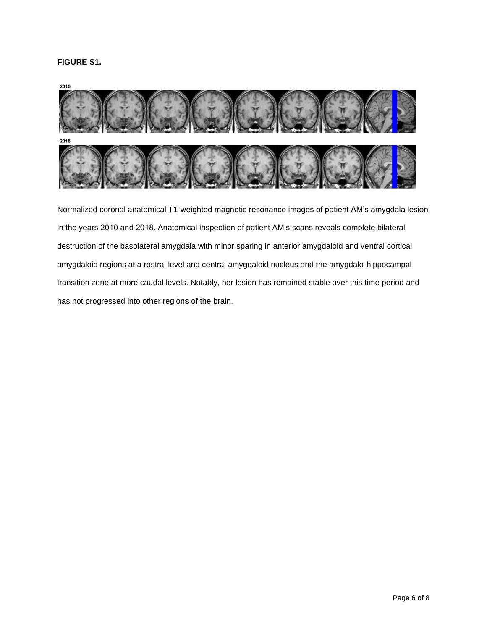## **FIGURE S1.**



Normalized coronal anatomical T1-weighted magnetic resonance images of patient AM's amygdala lesion in the years 2010 and 2018. Anatomical inspection of patient AM's scans reveals complete bilateral destruction of the basolateral amygdala with minor sparing in anterior amygdaloid and ventral cortical amygdaloid regions at a rostral level and central amygdaloid nucleus and the amygdalo-hippocampal transition zone at more caudal levels. Notably, her lesion has remained stable over this time period and has not progressed into other regions of the brain.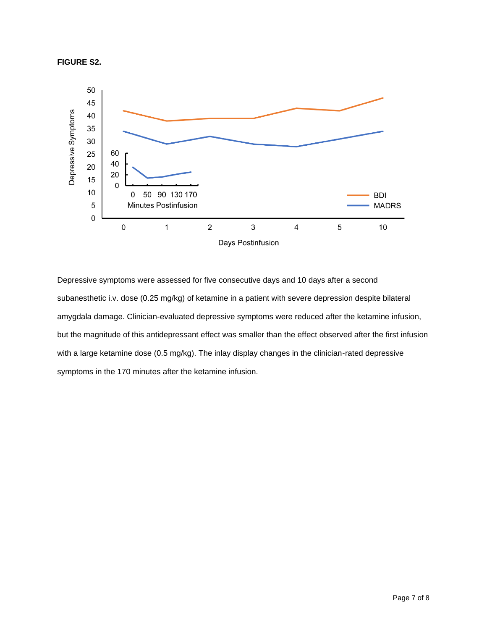



Depressive symptoms were assessed for five consecutive days and 10 days after a second subanesthetic i.v. dose (0.25 mg/kg) of ketamine in a patient with severe depression despite bilateral amygdala damage. Clinician-evaluated depressive symptoms were reduced after the ketamine infusion, but the magnitude of this antidepressant effect was smaller than the effect observed after the first infusion with a large ketamine dose (0.5 mg/kg). The inlay display changes in the clinician-rated depressive symptoms in the 170 minutes after the ketamine infusion.